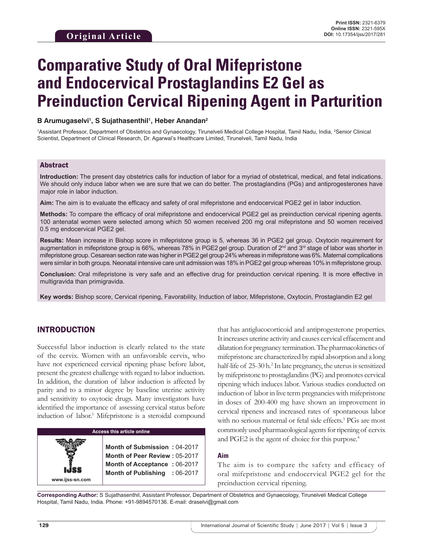# **Comparative Study of Oral Mifepristone and Endocervical Prostaglandins E2 Gel as Preinduction Cervical Ripening Agent in Parturition**

#### B Arumugaselvi<sup>1</sup>, S Sujathasenthil<sup>1</sup>, Heber Anandan<sup>2</sup>

<sup>1</sup>Assistant Professor, Department of Obstetrics and Gynaecology, Tirunelveli Medical College Hospital, Tamil Nadu, India, <sup>2</sup>Senior Clinical Scientist, Department of Clinical Research, Dr. Agarwal's Healthcare Limited, Tirunelveli, Tamil Nadu, India

#### Abstract

**Introduction:** The present day obstetrics calls for induction of labor for a myriad of obstetrical, medical, and fetal indications. We should only induce labor when we are sure that we can do better. The prostaglandins (PGs) and antiprogesterones have major role in labor induction.

**Aim:** The aim is to evaluate the efficacy and safety of oral mifepristone and endocervical PGE2 gel in labor induction.

**Methods:** To compare the efficacy of oral mifepristone and endocervical PGE2 gel as preinduction cervical ripening agents. 100 antenatal women were selected among which 50 women received 200 mg oral mifepristone and 50 women received 0.5 mg endocervical PGE2 gel.

**Results:** Mean increase in Bishop score in mifepristone group is 5, whereas 36 in PGE2 gel group. Oxytocin requirement for augmentation in mifepristone group is 66%, whereas 78% in PGE2 gel group. Duration of 2<sup>nd</sup> and 3<sup>rd</sup> stage of labor was shorter in mifepristone group. Cesarean section rate was higher in PGE2 gel group 24% whereas in mifepristone was 6%. Maternal complications were similar in both groups. Neonatal intensive care unit admission was 18% in PGE2 gel group whereas 10% in mifepristone group.

**Conclusion:** Oral mifepristone is very safe and an effective drug for preinduction cervical ripening. It is more effective in multigravida than primigravida.

**Key words:** Bishop score, Cervical ripening, Favorability, Induction of labor, Mifepristone, Oxytocin, Prostaglandin E2 gel

### INTRODUCTION

**www.ijss-sn.com**

Successful labor induction is clearly related to the state of the cervix. Women with an unfavorable cervix, who have not experienced cervical ripening phase before labor, present the greatest challenge with regard to labor induction. In addition, the duration of labor induction is affected by parity and to a minor degree by baseline uterine activity and sensitivity to oxytocic drugs. Many investigators have identified the importance of assessing cervical status before induction of labor.<sup>1</sup> Mifepristone is a steroidal compound

## **Access this article online**

**Month of Submission :** 04-2017 **Month of Peer Review :** 05-2017 **Month of Acceptance :** 06-2017 **Month of Publishing :** 06-2017

that has antiglucocorticoid and antiprogesterone properties. It increases uterine activity and causes cervical effacement and dilatation for pregnancy termination. The pharmacokinetics of mifepristone are characterized by rapid absorption and a long half-life of 25-30 h.<sup>2</sup> In late pregnancy, the uterus is sensitized by mifepristone to prostaglandins (PG) and promotes cervical ripening which induces labor. Various studies conducted on induction of labor in live term pregnancies with mifepristone in doses of 200-400 mg have shown an improvement in cervical ripeness and increased rates of spontaneous labor with no serious maternal or fetal side effects.<sup>3</sup> PGs are most commonly used pharmacological agents for ripening of cervix and PGE2 is the agent of choice for this purpose.<sup>4</sup>

#### **Aim**

The aim is to compare the safety and efficacy of oral mifepristone and endocervical PGE2 gel for the preinduction cervical ripening.

**Corresponding Author:** S Sujathasenthil, Assistant Professor, Department of Obstetrics and Gynaecology, Tirunelveli Medical College Hospital, Tamil Nadu, India. Phone: +91-9894570136. E-mail: draselvi@gmail.com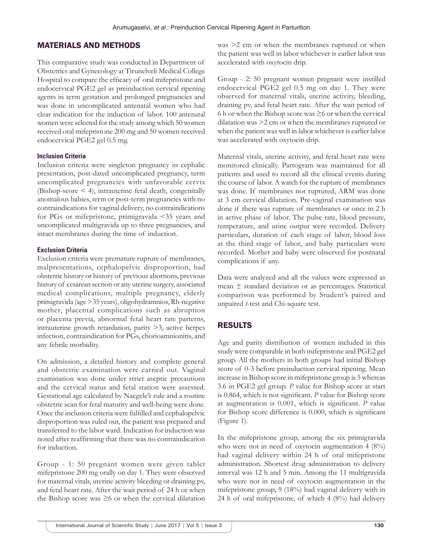## MATERIALS AND METHODS

This comparative study was conducted in Department of Obstetrics and Gynecology at Tirunelveli Medical College Hospital to compare the efficacy of oral mifepristone and endocervical PGE2 gel as preinduction cervical ripening agents in term gestation and prolonged pregnancies and was done in uncomplicated antenatal women who had clear indication for the induction of labor. 100 antenatal women were selected for the study among which 50 women received oral mifepristone 200 mg and 50 women received endocervical PGE2 gel 0.5 mg.

#### **Inclusion Criteria**

Inclusion criteria were singleton pregnancy in cephalic presentation, post-dated uncomplicated pregnancy, term uncomplicated pregnancies with unfavorable cervix (Bishop-score < 4), intrauterine fetal death, congenitally anomalous babies, term or post-term pregnancies with no contraindications for vaginal delivery, no contraindications for PGs or mifepristone, primigravida <35 years and uncomplicated multigravida up to three pregnancies, and intact membranes during the time of induction.

#### **Exclusion Criteria**

Exclusion criteria were premature rupture of membranes, malpresentations, cephalopelvic disproportion, bad obstetric history or history of previous abortions, previous history of cesarean section or any uterine surgery, associated medical complications, multiple pregnancy, elderly primigravida (age >35 years), oligohydramnios, Rh-negative mother, placental complications such as abruption or placenta previa, abnormal fetal heart rate patterns, intrauterine growth retardation, parity >3, active herpes infection, contraindication for PGs, chorioamnionitis, and any febrile morbidity.

On admission, a detailed history and complete general and obstetric examination were carried out. Vaginal examination was done under strict aseptic precautions and the cervical status and fetal station were assessed. Gestational age calculated by Naegele's rule and a routine obstetric scan for fetal maturity and well-being were done. Once the inclusion criteria were fulfilled and cephalopelvic disproportion was ruled out, the patient was prepared and transferred to the labor ward. Indication for induction was noted after reaffirming that there was no contraindication for induction.

Group - 1: 50 pregnant women were given tablet mifepristone 200 mg orally on day 1. They were observed for maternal vitals, uterine activity bleeding or draining pv, and fetal heart rate. After the wait period of 24 h or when the Bishop score was  $\geq$ 6 or when the cervical dilatation

was >2 cm or when the membranes ruptured or when the patient was well in labor whichever is earlier labor was accelerated with oxytocin drip.

Group - 2: 50 pregnant women pregnant were instilled endocervical PGE2 gel 0.5 mg on day 1. They were observed for maternal vitals, uterine activity, bleeding, draining pv, and fetal heart rate. After the wait period of 6 h or when the Bishop score was  $\geq$ 6 or when the cervical dilatation was >2 cm or when the membranes ruptured or when the patient was well in labor whichever is earlier labor was accelerated with oxytocin drip.

Maternal vitals, uterine activity, and fetal heart rate were monitored clinically. Partogram was maintained for all patients and used to record all the clinical events during the course of labor. A watch for the rupture of membranes was done. If membranes not ruptured, ARM was done at 3 cm cervical dilatation. Pre-vaginal examination was done if there was rupture of membranes or once in 2 h in active phase of labor. The pulse rate, blood pressure, temperature, and urine output were recorded. Delivery particulars, duration of each stage of labor, blood loss at the third stage of labor, and baby particulars were recorded. Mother and baby were observed for postnatal complications if any.

Data were analyzed and all the values were expressed as mean ± standard deviation or as percentages. Statistical comparison was performed by Student's paired and unpaired *t*-test and Chi-square test.

## RESULTS

Age and parity distribution of women included in this study were comparable in both mifepristone and PGE2 gel group. All the mothers in both groups had initial Bishop score of 0-3 before preinduction cervical ripening. Mean increase in Bishop score in mifepristone group is 5 whereas 3.6 in PGE2 gel group. *P* value for Bishop score at start is 0.864, which is not significant. *P* value for Bishop score at augmentation is 0.001, which is significant. *P* value for Bishop score difference is 0.000, which is significant (Figure 1).

In the mifepristone group, among the six primigravida who were not in need of oxytocin augmentation 4 (8%) had vaginal delivery within 24 h of oral mifepristone administration. Shortest drug administration to delivery interval was 12 h and 5 min. Among the 11 multigravida who were not in need of oxytocin augmentation in the mifepristone group, 9 (18%) had vaginal delivery with in 24 h of oral mifepristone, of which 4 (8%) had delivery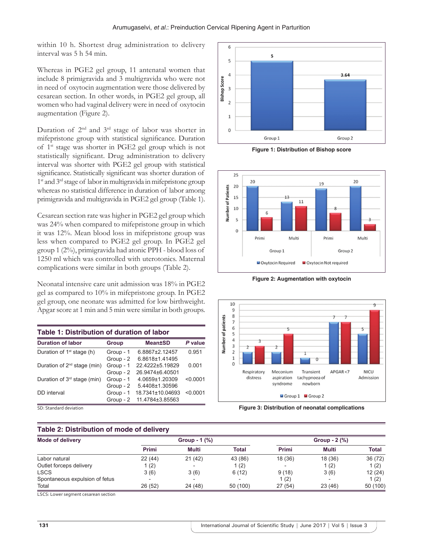within 10 h. Shortest drug administration to delivery interval was 5 h 54 min.

Whereas in PGE2 gel group, 11 antenatal women that include 8 primigravida and 3 multigravida who were not in need of oxytocin augmentation were those delivered by cesarean section. In other words, in PGE2 gel group, all women who had vaginal delivery were in need of oxytocin augmentation (Figure 2).

Duration of 2nd and 3rd stage of labor was shorter in mifepristone group with statistical significance. Duration of 1st stage was shorter in PGE2 gel group which is not statistically significant. Drug administration to delivery interval was shorter with PGE2 gel group with statistical significance. Statistically significant was shorter duration of 1<sup>st</sup> and 3<sup>rd</sup> stage of labor in multigravida in mifepristone group whereas no statistical difference in duration of labor among primigravida and multigravida in PGE2 gel group (Table 1).

Cesarean section rate was higher in PGE2 gel group which was 24% when compared to mifepristone group in which it was 12%. Mean blood loss in mifepristone group was less when compared to PGE2 gel group. In PGE2 gel group 1 (2%), primigravida had atonic PPH - blood loss of 1250 ml which was controlled with uterotonics. Maternal complications were similar in both groups (Table 2).

Neonatal intensive care unit admission was 18% in PGE2 gel as compared to 10% in mifepristone group. In PGE2 gel group, one neonate was admitted for low birthweight. Apgar score at 1 min and 5 min were similar in both groups.

| Table 1: Distribution of duration of labor |           |                  |          |  |
|--------------------------------------------|-----------|------------------|----------|--|
| <b>Duration of labor</b>                   | Group     | <b>Mean±SD</b>   | P value  |  |
| Duration of 1 <sup>st</sup> stage (h)      | Group - 1 | 6.8867±2.12457   | 0.951    |  |
|                                            | Group - 2 | 6.8618±1.41495   |          |  |
| Duration of 2 <sup>nd</sup> stage (min)    | Group - 1 | 22.4222±5.19829  | 0.001    |  |
|                                            | Group - 2 | 26.9474±6.40501  |          |  |
| Duration of 3 <sup>rd</sup> stage (min)    | Group - 1 | 4.0659±1.20309   | < 0.0001 |  |
|                                            | Group - 2 | 5.4408±1.30596   |          |  |
| DD interval                                | Group - 1 | 18.7341±10.04693 | < 0.0001 |  |
|                                            | Group - 2 | 11.4784±3.85563  |          |  |

SD: Standard deviation

#### **Table 2: Distribution of mode of delivery**



**Figure 1: Distribution of Bishop score**



**Figure 2: Augmentation with oxytocin**



**Figure 3: Distribution of neonatal complications**

| Table 2: Distribution of mode of delivery |                           |        |                 |         |         |              |
|-------------------------------------------|---------------------------|--------|-----------------|---------|---------|--------------|
| <b>Mode of delivery</b>                   | Group - $1$ $\frac{9}{6}$ |        | Group $- 2$ (%) |         |         |              |
|                                           | Primi                     | Multi  | Total           | Primi   | Multi   | <b>Total</b> |
| Labor natural                             | 22(44)                    | 21(42) | 43 (86)         | 18 (36) | 18 (36) | 36 (72)      |
| Outlet forceps delivery                   | 1 (2)                     |        | 1(2)            |         | 1(2)    | 1(2)         |
| <b>LSCS</b>                               | 3(6)                      | 3(6)   | 6(12)           | 9(18)   | 3(6)    | 12(24)       |
| Spontaneous expulsion of fetus            | $\overline{\phantom{0}}$  |        |                 | 1(2)    |         | 1(2)         |
| Total                                     | 26(52)                    | 24(48) | 50 (100)        | 27(54)  | 23(46)  | 50 (100)     |

LSCS: Lower segment cesarean section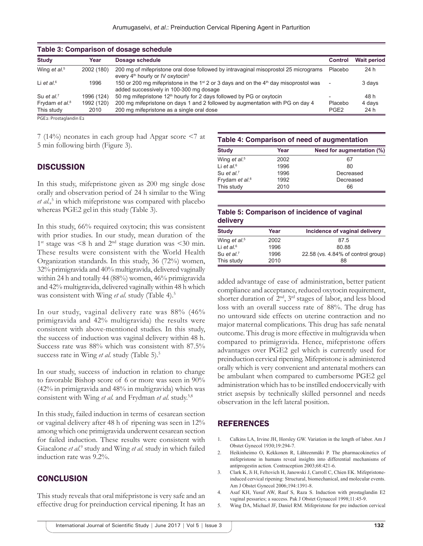| Table 3: Comparison of dosage schedule |            |                                                                                                                                                         |                  |                    |
|----------------------------------------|------------|---------------------------------------------------------------------------------------------------------------------------------------------------------|------------------|--------------------|
| <b>Study</b>                           | Year       | Dosage schedule                                                                                                                                         | <b>Control</b>   | <b>Wait period</b> |
| Wing et al. <sup>5</sup>               | 2002 (180) | 200 mg of mifepristone oral dose followed by intravaginal misoprostol 25 micrograms<br>every 4 <sup>th</sup> hourly or IV oxytocin <sup>5</sup>         | Placebo          | 24 h               |
| Li et al. $6$                          | 1996       | 150 or 200 mg mifepristone in the 1 <sup>st</sup> 2 or 3 days and on the 4 <sup>th</sup> day misoprostol was<br>added successively in 100-300 mg dosage |                  | 3 days             |
| Su et al. $7$                          | 1996 (124) | 50 mg mifepristone 12 <sup>th</sup> hourly for 2 days followed by PG or oxytocin                                                                        |                  | 48 h               |
| Frydam et al. <sup>8</sup>             | 1992 (120) | 200 mg mifepristone on days 1 and 2 followed by augmentation with PG on day 4                                                                           | Placebo          | 4 days             |
| This study                             | 2010       | 200 mg mifepristone as a single oral dose                                                                                                               | PGE <sub>2</sub> | 24 h               |
| --- - -                                |            |                                                                                                                                                         |                  |                    |

PGE2: Prostaglandin E2

7 (14%) neonates in each group had Apgar score <7 at 5 min following birth (Figure 3).

#### **DISCUSSION**

In this study, mifepristone given as 200 mg single dose orally and observation period of 24 h similar to the Wing *et al.,*<sup>5</sup> in which mifepristone was compared with placebo whereas PGE2 gel in this study (Table 3).

In this study, 66% required oxytocin; this was consistent with prior studies. In our study, mean duration of the  $1<sup>st</sup> stage was < 8 h and 2<sup>nd</sup> stage duration was < 30 min.$ These results were consistent with the World Health Organization standards. In this study, 36 (72%) women, 32% primigravida and 40% multigravida, delivered vaginally within 24 h and totally 44 (88%) women, 46% primigravida and 42% multigravida, delivered vaginally within 48 h which was consistent with Wing *et al.* study (Table 4).<sup>5</sup>

In our study, vaginal delivery rate was 88% (46% primigravida and 42% multigravida) the results were consistent with above-mentioned studies. In this study, the success of induction was vaginal delivery within 48 h. Success rate was 88% which was consistent with 87.5% success rate in Wing *et al.* study (Table 5).<sup>5</sup>

In our study, success of induction in relation to change to favorable Bishop score of 6 or more was seen in 90% (42% in primigravida and 48% in multigravida) which was consistent with Wing *et al.* and Frydman *et al.* study.5,8

In this study, failed induction in terms of cesarean section or vaginal delivery after 48 h of ripening was seen in 12% among which one primigravida underwent cesarean section for failed induction. These results were consistent with Giacalone et al.<sup>9</sup> study and Wing et al. study in which failed induction rate was 9.2%.

#### **CONCLUSION**

This study reveals that oral mifepristone is very safe and an effective drug for preinduction cervical ripening. It has an

## **Table 4: Comparison of need of augmentation**

| <b>Study</b>               | Year | Need for augmentation (%) |  |
|----------------------------|------|---------------------------|--|
| Wing et al. <sup>5</sup>   | 2002 | 67                        |  |
| Li et al. $6$              | 1996 | 80                        |  |
| Su et al. <sup>7</sup>     | 1996 | Decreased                 |  |
| Frydam et al. <sup>8</sup> | 1992 | Decreased                 |  |
| This study                 | 2010 | 66                        |  |

#### **Table 5: Comparison of incidence of vaginal delivery**

| <b>Study</b>             | Year | Incidence of vaginal delivery      |
|--------------------------|------|------------------------------------|
| Wing et al. <sup>5</sup> | 2002 | 87.5                               |
| Li et al. $6$            | 1996 | 80.88                              |
| Su et al. <sup>7</sup>   | 1996 | 22.58 (vs. 4.84% of control group) |
| This study               | 2010 | 88                                 |

added advantage of ease of administration, better patient compliance and acceptance, reduced oxytocin requirement, shorter duration of  $2<sup>nd</sup>$ ,  $3<sup>rd</sup>$  stages of labor, and less blood loss with an overall success rate of 88%. The drug has no untoward side effects on uterine contraction and no major maternal complications. This drug has safe nenatal outcome. This drug is more effective in multigravida when compared to primigravida. Hence, mifepristone offers advantages over PGE2 gel which is currently used for preinduction cervical ripening. Mifepristone is administered orally which is very convenient and antenatal mothers can be ambulant when compared to cumbersome PGE2 gel administration which has to be instilled endocervically with strict asepsis by technically skilled personnel and needs observation in the left lateral position.

## REFERENCES

- 1. Calkins LA, Irvine JH, Horsley GW. Variation in the length of labor. Am J Obstet Gynecol 1930;19:294-7.
- 2. Heikinheimo O, Kekkonen R, Lähteenmäki P. The pharmacokinetics of mifepristone in humans reveal insights into differential mechanisms of antiprogestin action. Contraception 2003;68:421-6.
- 3. Clark K, Ji H, Feltovich H, Janowski J, Carroll C, Chien EK. Mifepristoneinduced cervical ripening: Structural, biomechanical, and molecular events. Am J Obstet Gynecol 2006;194:1391-8.
- 4. Asaf KH, Yusuf AW, Rauf S, Raza S. Induction with prostaglandin E2 vaginal pessaries; a success. Pak J Obstet Gynaecol 1998;11:45-9.
- 5. Wing DA, Michael JF, Daniel RM. Mifepristone for pre induction cervical